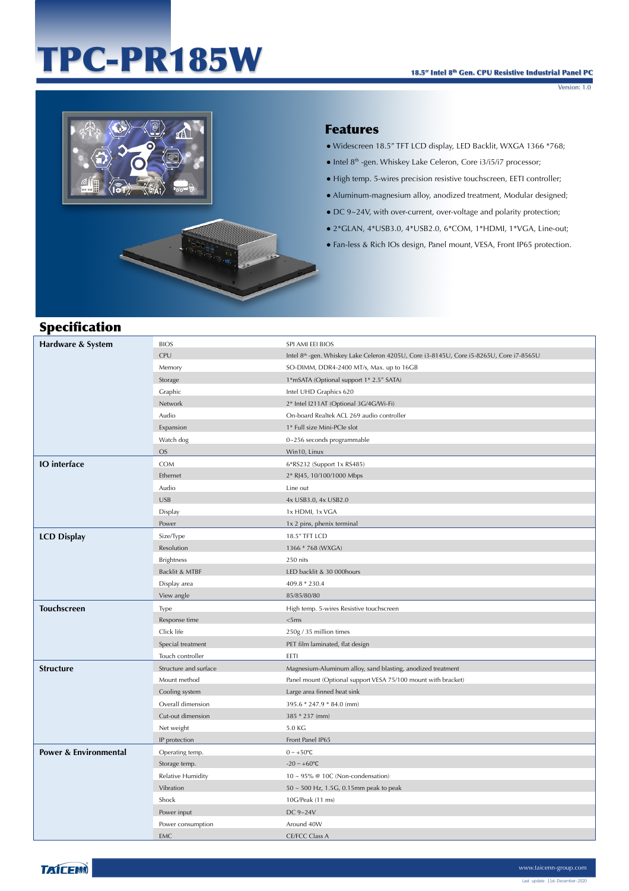# TPC-PR185W

Version: 1.0



#### Features

- Widescreen 18.5" TFT LCD display, LED Backlit, WXGA 1366 \*768;
- Intel 8th -gen. Whiskey Lake Celeron, Core i3/i5/i7 processor;
- High temp. 5-wires precision resistive touchscreen, EETI controller;
- Aluminum-magnesium alloy, anodized treatment, Modular designed;
- DC 9~24V, with over-current, over-voltage and polarity protection;
- 2\*GLAN, 4\*USB3.0, 4\*USB2.0, 6\*COM, 1\*HDMI, 1\*VGA, Line-out;
- Fan-less & Rich IOs design, Panel mount, VESA, Front IP65 protection.

## Specification

| Hardware & System                | <b>BIOS</b>           | SPI AMI EEI BIOS                                                                        |
|----------------------------------|-----------------------|-----------------------------------------------------------------------------------------|
|                                  | CPU                   | Intel 8th -gen. Whiskey Lake Celeron 4205U, Core i3-8145U, Core i5-8265U, Core i7-8565U |
|                                  | Memory                | SO-DIMM, DDR4-2400 MT/s, Max. up to 16GB                                                |
|                                  | Storage               | 1*mSATA (Optional support 1* 2.5" SATA)                                                 |
|                                  | Graphic               | Intel UHD Graphics 620                                                                  |
|                                  | Network               | 2* Intel I211AT (Optional 3G/4G/Wi-Fi)                                                  |
|                                  | Audio                 | On-board Realtek ACL 269 audio controller                                               |
|                                  | Expansion             | 1* Full size Mini-PCIe slot                                                             |
|                                  | Watch dog             | 0~256 seconds programmable                                                              |
|                                  | <b>OS</b>             | Win10, Linux                                                                            |
| <b>IO</b> interface              | <b>COM</b>            | 6*RS232 (Support 1x RS485)                                                              |
|                                  | Ethernet              | 2* RJ45, 10/100/1000 Mbps                                                               |
|                                  | Audio                 | Line out                                                                                |
|                                  | <b>USB</b>            | 4x USB3.0, 4x USB2.0                                                                    |
|                                  | Display               | 1x HDMI, 1x VGA                                                                         |
|                                  | Power                 | 1x 2 pins, phenix terminal                                                              |
| <b>LCD Display</b>               | Size/Type             | 18.5" TFT LCD                                                                           |
|                                  | Resolution            | 1366 * 768 (WXGA)                                                                       |
|                                  | <b>Brightness</b>     | 250 nits                                                                                |
|                                  | Backlit & MTBF        | LED backlit & 30 000hours                                                               |
|                                  | Display area          | 409.8 * 230.4                                                                           |
|                                  | View angle            | 85/85/80/80                                                                             |
| Touchscreen                      | Type                  | High temp. 5-wires Resistive touchscreen                                                |
|                                  | Response time         | <5ms                                                                                    |
|                                  | Click life            | 250g / 35 million times                                                                 |
|                                  | Special treatment     | PET film laminated, flat design                                                         |
|                                  | Touch controller      | EETI                                                                                    |
| <b>Structure</b>                 | Structure and surface | Magnesium-Aluminum alloy, sand blasting, anodized treatment                             |
|                                  | Mount method          | Panel mount (Optional support VESA 75/100 mount with bracket)                           |
|                                  | Cooling system        | Large area finned heat sink                                                             |
|                                  | Overall dimension     | 395.6 * 247.9 * 84.0 (mm)                                                               |
|                                  | Cut-out dimension     | 385 * 237 (mm)                                                                          |
|                                  | Net weight            | 5.0 KG                                                                                  |
|                                  | IP protection         | Front Panel IP65                                                                        |
| <b>Power &amp; Environmental</b> | Operating temp.       | $0 \sim +50$ °C                                                                         |
|                                  | Storage temp.         | $-20 - +60$ °C                                                                          |
|                                  | Relative Humidity     | $10 \sim 95\%$ @ 10C (Non-condensation)                                                 |
|                                  | Vibration             | $50 \sim 500$ Hz, 1.5G, 0.15mm peak to peak                                             |
|                                  | Shock                 | 10G/Peak (11 ms)                                                                        |
|                                  | Power input           | DC 9~24V                                                                                |
|                                  | Power consumption     | Around 40W                                                                              |
|                                  |                       |                                                                                         |